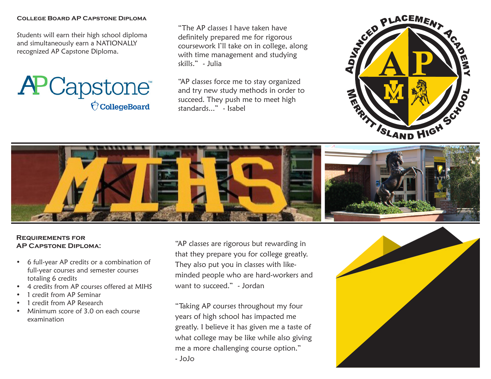#### **College Board AP Capstone Diploma**

Students will earn their high school diploma and simultaneously earn a NATIONALLY recognized AP Capstone Diploma.



"The AP classes I have taken have definitely prepared me for rigorous coursework I'll take on in college, along with time management and studying skills." - Julia

"AP classes force me to stay organized and try new study methods in order to succeed. They push me to meet high standards..." - Isabel





## **Requirements for AP Capstone Diploma:**

- 6 full-year AP credits or a combination of full-year courses and semester courses totaling 6 credits
- 4 credits from AP courses offered at MIHS
- 1 credit from AP Seminar
- 1 credit from AP Research
- Minimum score of 3.0 on each course examination

"AP classes are rigorous but rewarding in that they prepare you for college greatly. They also put you in classes with likeminded people who are hard-workers and want to succeed." - Jordan

"Taking AP courses throughout my four years of high school has impacted me greatly. I believe it has given me a taste of what college may be like while also giving me a more challenging course option." - JoJo